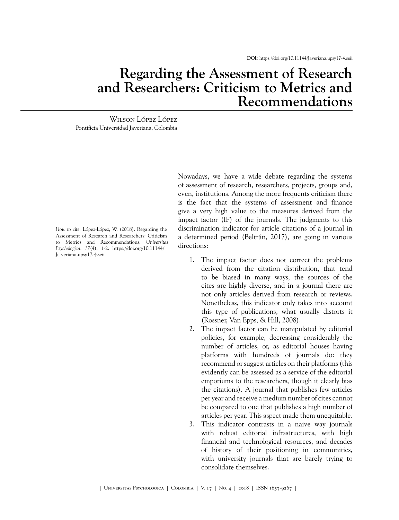**DOI:** <https://doi.org/10.11144/Javeriana.upsy17-4.seii>

## **Regarding the Assessment of Research and Researchers: Criticism to Metrics and Recommendations**

Wilson López López Pontificia Universidad Javeriana, Colombia

*How to cite:* López-López, W. (2018). Regarding the Assessment of Research and Researchers: Criticism to Metrics and Recommendations. *Universitas Psychologica*, *17*(4), 1-2[. https://doi.org/10.11144/](https://doi.org/10.11144/Javeriana.upsy17-4.seii) Ja [veriana.upsy17-4.seii](https://doi.org/10.11144/Javeriana.upsy17-4.seii)

Nowadays, we have a wide debate regarding the systems of assessment of research, researchers, projects, groups and, even, institutions. Among the more frequents criticism there is the fact that the systems of assessment and finance give a very high value to the measures derived from the impact factor (IF) of the journals. The judgments to this discrimination indicator for article citations of a journal in a determined period [\(Beltrán, 2017](#page-1-0)), are going in various directions:

- 1. The impact factor does not correct the problems derived from the citation distribution, that tend to be biased in many ways, the sources of the cites are highly diverse, and in a journal there are not only articles derived from research or reviews. Nonetheless, this indicator only takes into account this type of publications, what usually distorts it ([Rossner, Van Epps, & Hill, 2008\)](#page-1-1).
- 2. The impact factor can be manipulated by editorial policies, for example, decreasing considerably the number of articles, or, as editorial houses having platforms with hundreds of journals do: they recommend or suggest articles on their platforms (this evidently can be assessed as a service of the editorial emporiums to the researchers, though it clearly bias the citations). A journal that publishes few articles per year and receive a medium number of cites cannot be compared to one that publishes a high number of articles per year. This aspect made them unequitable.
- 3. This indicator contrasts in a naive way journals with robust editorial infrastructures, with high financial and technological resources, and decades of history of their positioning in communities, with university journals that are barely trying to consolidate themselves.